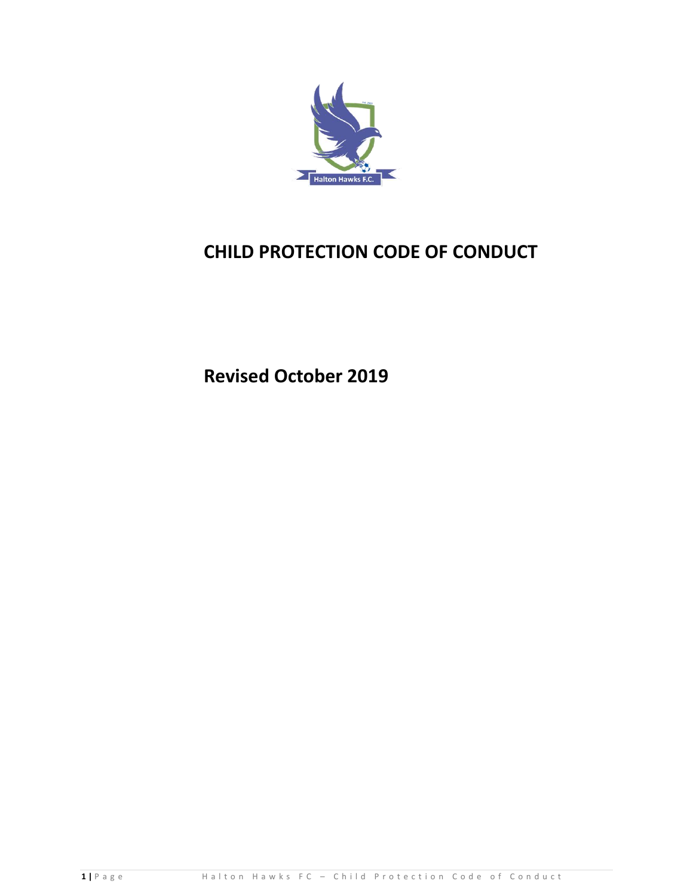

# **CHILD PROTECTION CODE OF CONDUCT**

**Revised October 2019**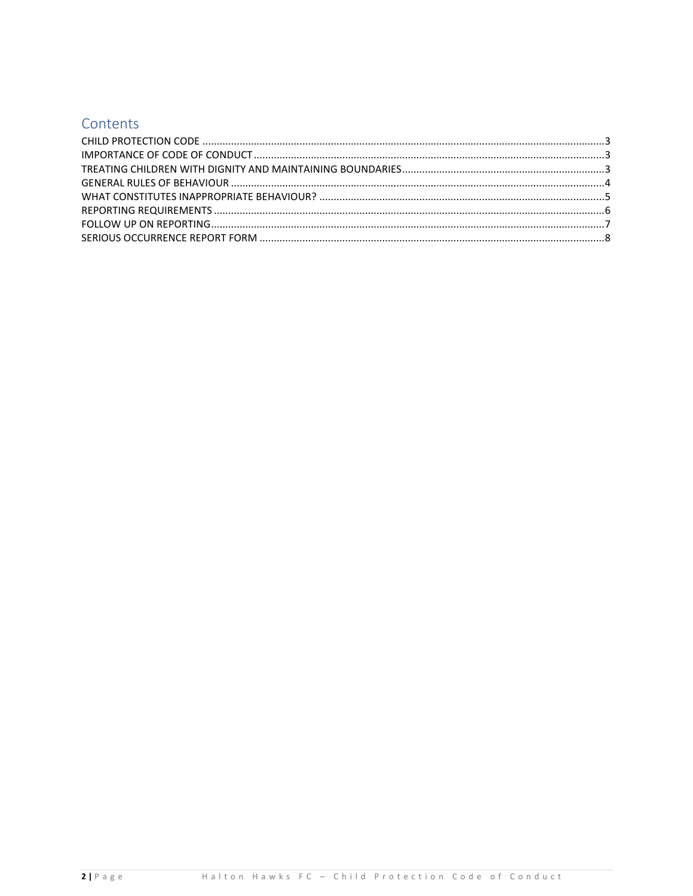## Contents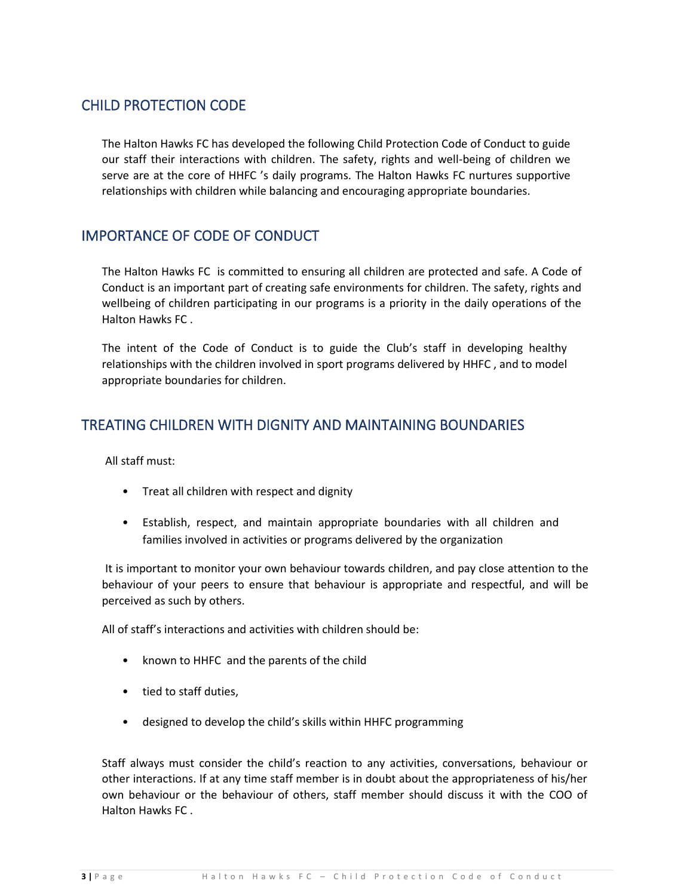## <span id="page-2-0"></span>CHILD PROTECTION CODE

The Halton Hawks FC has developed the following Child Protection Code of Conduct to guide our staff their interactions with children. The safety, rights and well-being of children we serve are at the core of HHFC 's daily programs. The Halton Hawks FC nurtures supportive relationships with children while balancing and encouraging appropriate boundaries.

## <span id="page-2-1"></span>IMPORTANCE OF CODE OF CONDUCT

The Halton Hawks FC is committed to ensuring all children are protected and safe. A Code of Conduct is an important part of creating safe environments for children. The safety, rights and wellbeing of children participating in our programs is a priority in the daily operations of the Halton Hawks FC .

The intent of the Code of Conduct is to guide the Club's staff in developing healthy relationships with the children involved in sport programs delivered by HHFC , and to model appropriate boundaries for children.

## <span id="page-2-2"></span>TREATING CHILDREN WITH DIGNITY AND MAINTAINING BOUNDARIES

All staff must:

- Treat all children with respect and dignity
- Establish, respect, and maintain appropriate boundaries with all children and families involved in activities or programs delivered by the organization

It is important to monitor your own behaviour towards children, and pay close attention to the behaviour of your peers to ensure that behaviour is appropriate and respectful, and will be perceived as such by others.

All of staff's interactions and activities with children should be:

- known to HHFC and the parents of the child
- tied to staff duties,
- designed to develop the child's skills within HHFC programming

Staff always must consider the child's reaction to any activities, conversations, behaviour or other interactions. If at any time staff member is in doubt about the appropriateness of his/her own behaviour or the behaviour of others, staff member should discuss it with the COO of Halton Hawks FC .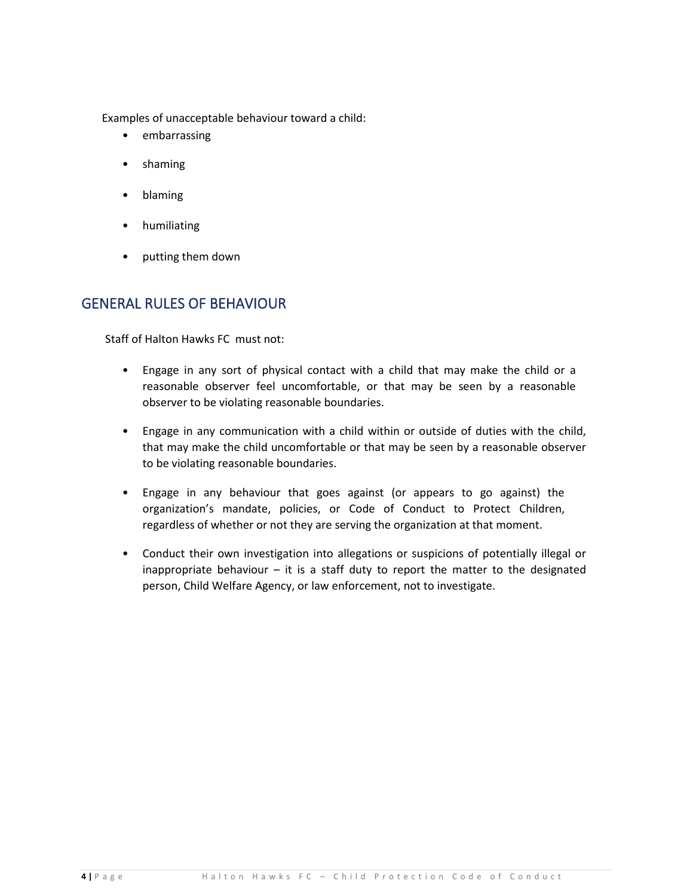Examples of unacceptable behaviour toward a child:

- embarrassing
- shaming
- blaming
- humiliating
- putting them down

### <span id="page-3-0"></span>GENERAL RULES OF BEHAVIOUR

Staff of Halton Hawks FC must not:

- Engage in any sort of physical contact with a child that may make the child or a reasonable observer feel uncomfortable, or that may be seen by a reasonable observer to be violating reasonable boundaries.
- Engage in any communication with a child within or outside of duties with the child, that may make the child uncomfortable or that may be seen by a reasonable observer to be violating reasonable boundaries.
- Engage in any behaviour that goes against (or appears to go against) the organization's mandate, policies, or Code of Conduct to Protect Children, regardless of whether or not they are serving the organization at that moment.
- Conduct their own investigation into allegations or suspicions of potentially illegal or inappropriate behaviour – it is a staff duty to report the matter to the designated person, Child Welfare Agency, or law enforcement, not to investigate.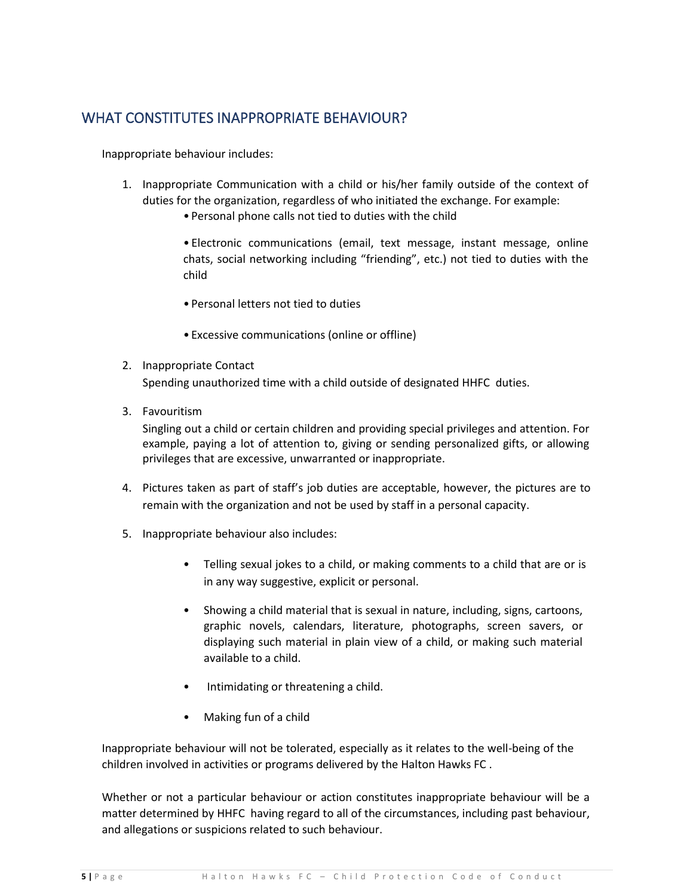## <span id="page-4-0"></span>WHAT CONSTITUTES INAPPROPRIATE BEHAVIOUR?

Inappropriate behaviour includes:

- 1. Inappropriate Communication with a child or his/her family outside of the context of duties for the organization, regardless of who initiated the exchange. For example:
	- Personal phone calls not tied to duties with the child

• Electronic communications (email, text message, instant message, online chats, social networking including "friending", etc.) not tied to duties with the child

- Personal letters not tied to duties
- Excessive communications (online or offline)
- 2. Inappropriate Contact Spending unauthorized time with a child outside of designated HHFC duties.
- 3. Favouritism

Singling out a child or certain children and providing special privileges and attention. For example, paying a lot of attention to, giving or sending personalized gifts, or allowing privileges that are excessive, unwarranted or inappropriate.

- 4. Pictures taken as part of staff's job duties are acceptable, however, the pictures are to remain with the organization and not be used by staff in a personal capacity.
- 5. Inappropriate behaviour also includes:
	- Telling sexual jokes to a child, or making comments to a child that are or is in any way suggestive, explicit or personal.
	- Showing a child material that is sexual in nature, including, signs, cartoons, graphic novels, calendars, literature, photographs, screen savers, or displaying such material in plain view of a child, or making such material available to a child.
	- Intimidating or threatening a child.
	- Making fun of a child

Inappropriate behaviour will not be tolerated, especially as it relates to the well-being of the children involved in activities or programs delivered by the Halton Hawks FC .

Whether or not a particular behaviour or action constitutes inappropriate behaviour will be a matter determined by HHFC having regard to all of the circumstances, including past behaviour, and allegations or suspicions related to such behaviour.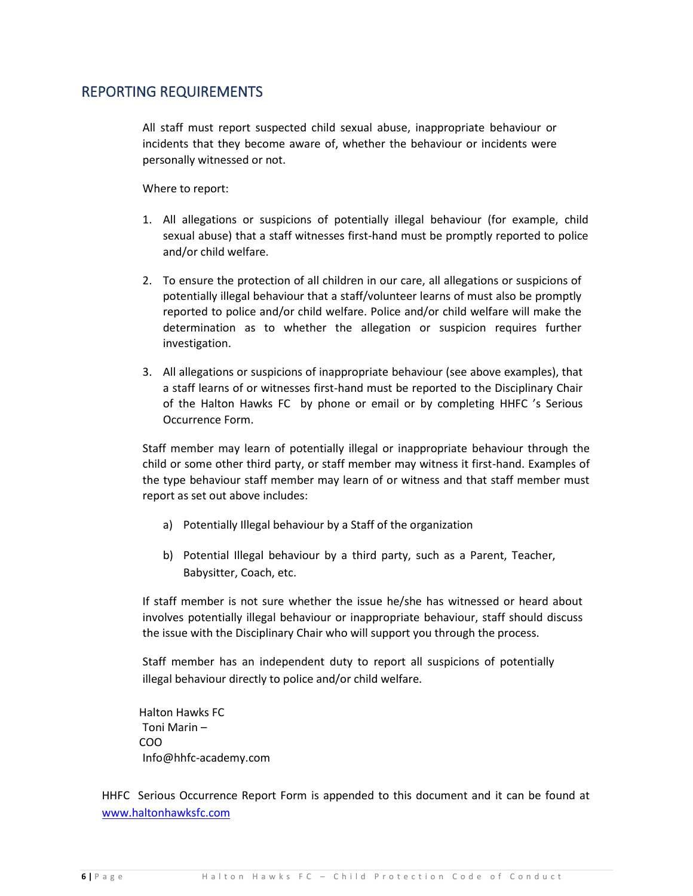#### <span id="page-5-0"></span>REPORTING REQUIREMENTS

All staff must report suspected child sexual abuse, inappropriate behaviour or incidents that they become aware of, whether the behaviour or incidents were personally witnessed or not.

Where to report:

- 1. All allegations or suspicions of potentially illegal behaviour (for example, child sexual abuse) that a staff witnesses first-hand must be promptly reported to police and/or child welfare.
- 2. To ensure the protection of all children in our care, all allegations or suspicions of potentially illegal behaviour that a staff/volunteer learns of must also be promptly reported to police and/or child welfare. Police and/or child welfare will make the determination as to whether the allegation or suspicion requires further investigation.
- 3. All allegations or suspicions of inappropriate behaviour (see above examples), that a staff learns of or witnesses first-hand must be reported to the Disciplinary Chair of the Halton Hawks FC by phone or email or by completing HHFC 's Serious Occurrence Form.

Staff member may learn of potentially illegal or inappropriate behaviour through the child or some other third party, or staff member may witness it first-hand. Examples of the type behaviour staff member may learn of or witness and that staff member must report as set out above includes:

- a) Potentially Illegal behaviour by a Staff of the organization
- b) Potential Illegal behaviour by a third party, such as a Parent, Teacher, Babysitter, Coach, etc.

If staff member is not sure whether the issue he/she has witnessed or heard about involves potentially illegal behaviour or inappropriate behaviour, staff should discuss the issue with the Disciplinary Chair who will support you through the process.

Staff member has an independent duty to report all suspicions of potentially illegal behaviour directly to police and/or child welfare.

Halton Hawks FC Toni Marin – COO Info@hhfc-academy.com

HHFC Serious Occurrence Report Form is appended to this document and it can be found at www.haltonhawksfc.com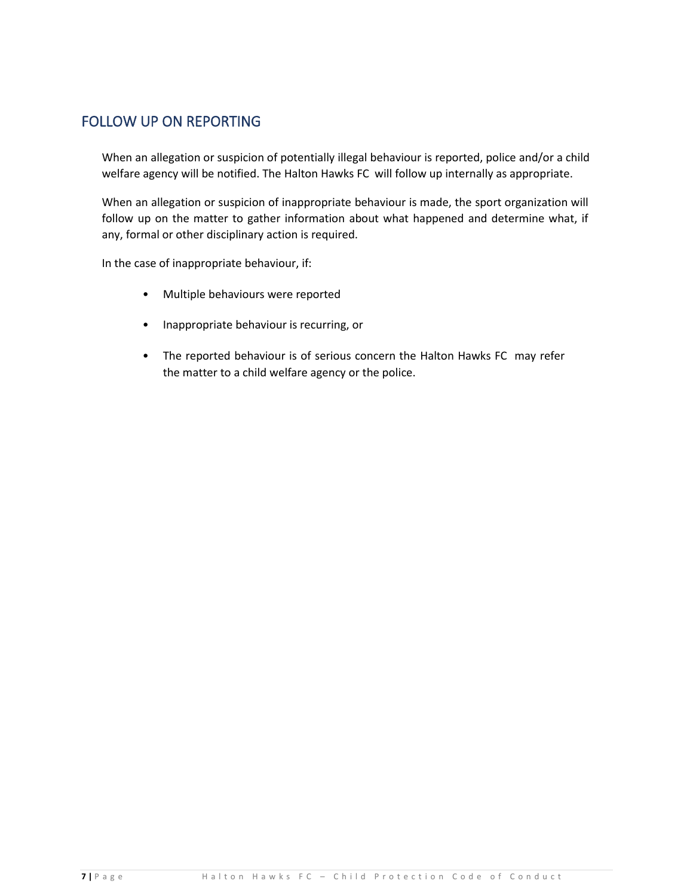## <span id="page-6-0"></span>FOLLOW UP ON REPORTING

When an allegation or suspicion of potentially illegal behaviour is reported, police and/or a child welfare agency will be notified. The Halton Hawks FC will follow up internally as appropriate.

When an allegation or suspicion of inappropriate behaviour is made, the sport organization will follow up on the matter to gather information about what happened and determine what, if any, formal or other disciplinary action is required.

In the case of inappropriate behaviour, if:

- Multiple behaviours were reported
- Inappropriate behaviour is recurring, or
- The reported behaviour is of serious concern the Halton Hawks FC may refer the matter to a child welfare agency or the police.